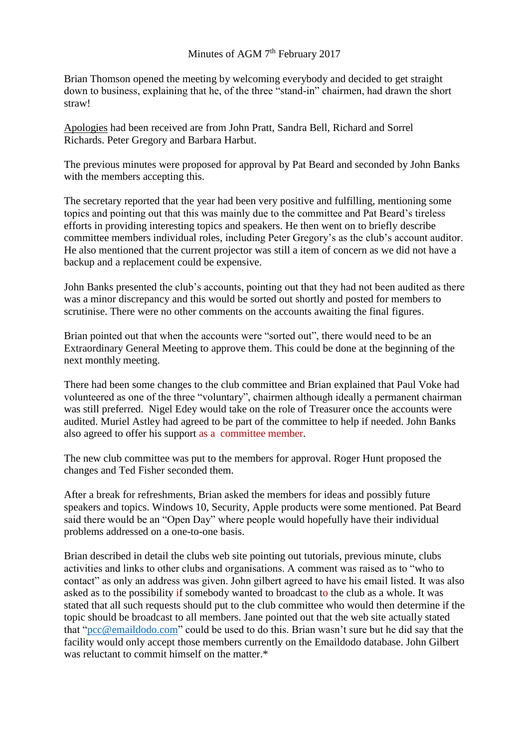## Minutes of AGM  $7<sup>th</sup>$  February 2017

Brian Thomson opened the meeting by welcoming everybody and decided to get straight down to business, explaining that he, of the three "stand-in" chairmen, had drawn the short straw!

Apologies had been received are from John Pratt, Sandra Bell, Richard and Sorrel Richards. Peter Gregory and Barbara Harbut.

The previous minutes were proposed for approval by Pat Beard and seconded by John Banks with the members accepting this.

The secretary reported that the year had been very positive and fulfilling, mentioning some topics and pointing out that this was mainly due to the committee and Pat Beard's tireless efforts in providing interesting topics and speakers. He then went on to briefly describe committee members individual roles, including Peter Gregory's as the club's account auditor. He also mentioned that the current projector was still a item of concern as we did not have a backup and a replacement could be expensive.

John Banks presented the club's accounts, pointing out that they had not been audited as there was a minor discrepancy and this would be sorted out shortly and posted for members to scrutinise. There were no other comments on the accounts awaiting the final figures.

Brian pointed out that when the accounts were "sorted out", there would need to be an Extraordinary General Meeting to approve them. This could be done at the beginning of the next monthly meeting.

There had been some changes to the club committee and Brian explained that Paul Voke had volunteered as one of the three "voluntary", chairmen although ideally a permanent chairman was still preferred. Nigel Edey would take on the role of Treasurer once the accounts were audited. Muriel Astley had agreed to be part of the committee to help if needed. John Banks also agreed to offer his support as a committee member.

The new club committee was put to the members for approval. Roger Hunt proposed the changes and Ted Fisher seconded them.

After a break for refreshments, Brian asked the members for ideas and possibly future speakers and topics. Windows 10, Security, Apple products were some mentioned. Pat Beard said there would be an "Open Day" where people would hopefully have their individual problems addressed on a one-to-one basis.

Brian described in detail the clubs web site pointing out tutorials, previous minute, clubs activities and links to other clubs and organisations. A comment was raised as to "who to contact" as only an address was given. John gilbert agreed to have his email listed. It was also asked as to the possibility if somebody wanted to broadcast to the club as a whole. It was stated that all such requests should put to the club committee who would then determine if the topic should be broadcast to all members. Jane pointed out that the web site actually stated that ["pcc@emaildodo.com"](mailto:pcc@emaildodo.com) could be used to do this. Brian wasn't sure but he did say that the facility would only accept those members currently on the Emaildodo database. John Gilbert was reluctant to commit himself on the matter.\*